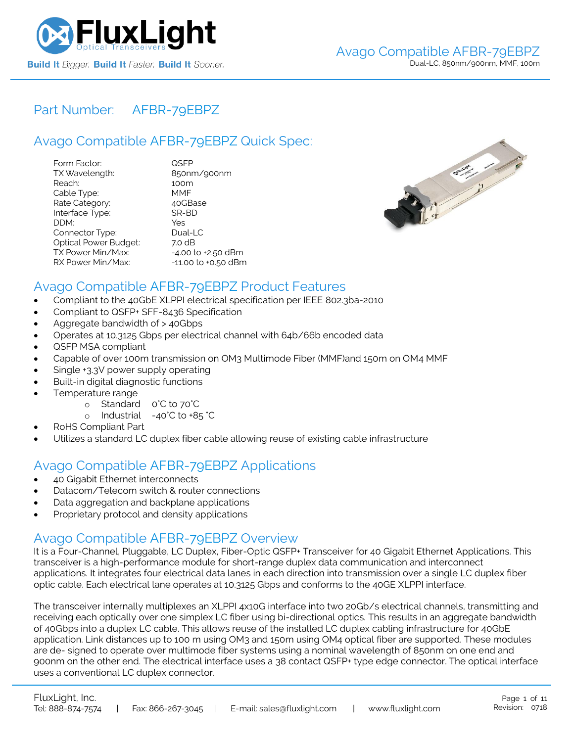

# Part Number: [AFBR-79EBPZ](https://www.fluxlight.com/AFBR-79EBPZ/)

# Avago Compatible [AFBR-79EBPZ](https://www.fluxlight.com/AFBR-79EBPZ/) Quick Spec:

| Form Factor:                 | QSFP                |
|------------------------------|---------------------|
| TX Wavelength:               | 850nm/900nm         |
| Reach:                       | 100m                |
| Cable Type:                  | MMF                 |
| Rate Category:               | 40GBase             |
| Interface Type:              | SR-BD               |
| DDM:                         | Yes                 |
| Connector Type:              | Dual-LC             |
| <b>Optical Power Budget:</b> | 7.0 dB              |
| TX Power Min/Max:            | -4.00 to +2.50 dBm  |
| RX Power Min/Max:            | -11.00 to +0.50 dBm |



### Avago Compatible [AFBR-79EBPZ](https://www.fluxlight.com/AFBR-79EBPZ/) Product Features

- Compliant to the 40GbE XLPPI electrical specification per IEEE 802.3ba-2010
- Compliant to QSFP+ SFF-8436 Specification
- Aggregate bandwidth of > 40Gbps
- Operates at 10.3125 Gbps per electrical channel with 64b/66b encoded data
- QSFP MSA compliant
- Capable of over 100m transmission on OM3 Multimode Fiber (MMF)and 150m on OM4 MMF
- Single +3.3V power supply operating
- Built-in digital diagnostic functions
- Temperature range
	- o Standard 0°C to 70°C
	- o Industrial -40°C to +85 °C
- RoHS Compliant Part
- Utilizes a standard LC duplex fiber cable allowing reuse of existing cable infrastructure

# Avago Compatible [AFBR-79EBPZ](https://www.fluxlight.com/AFBR-79EBPZ/) Applications

- 40 Gigabit Ethernet interconnects
- Datacom/Telecom switch & router connections
- Data aggregation and backplane applications
- Proprietary protocol and density applications

### Avago Compatible [AFBR-79EBPZ](https://www.fluxlight.com/AFBR-79EBPZ/) Overview

It is a Four-Channel, Pluggable, LC Duplex, Fiber-Optic QSFP+ Transceiver for 40 Gigabit Ethernet Applications. This transceiver is a high-performance module for short-range duplex data communication and interconnect applications. It integrates four electrical data lanes in each direction into transmission over a single LC duplex fiber optic cable. Each electrical lane operates at 10.3125 Gbps and conforms to the 40GE XLPPI interface.

The transceiver internally multiplexes an XLPPI 4x10G interface into two 20Gb/s electrical channels, transmitting and receiving each optically over one simplex LC fiber using bi-directional optics. This results in an aggregate bandwidth of 40Gbps into a duplex LC cable. This allows reuse of the installed LC duplex cabling infrastructure for 40GbE application. Link distances up to 100 m using OM3 and 150m using OM4 optical fiber are supported. These modules are de- signed to operate over multimode fiber systems using a nominal wavelength of 850nm on one end and 900nm on the other end. The electrical interface uses a 38 contact QSFP+ type edge connector. The optical interface uses a conventional LC duplex connector.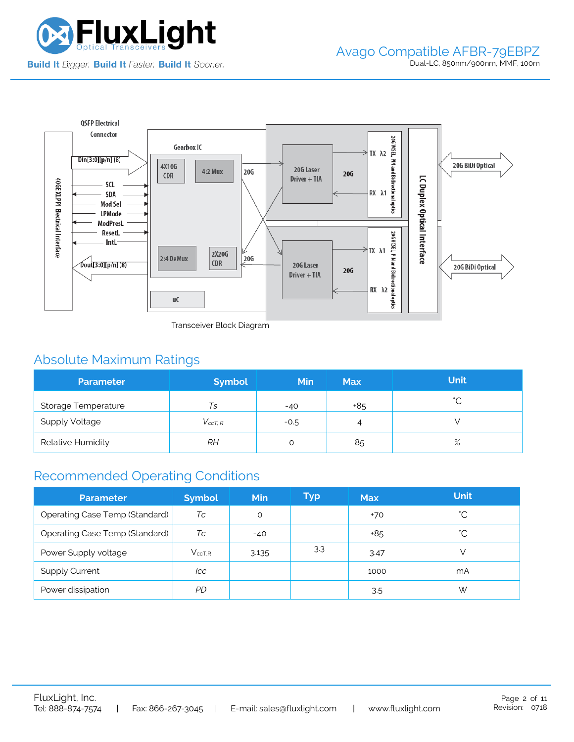



Transceiver Block Diagram

# Absolute Maximum Ratings

| <b>Parameter</b>      | <b>Symbol</b>  | <b>Min</b> | <b>Max</b> | <b>Unit</b> |
|-----------------------|----------------|------------|------------|-------------|
| Storage Temperature   | Ts             | $-40$      | +85        | $\hat{ }$   |
| <b>Supply Voltage</b> | $V_{c c T. R}$ | $-0.5$     | 4          |             |
| Relative Humidity     | RН             |            | 85         | $\%$        |

# Recommended Operating Conditions

| <b>Parameter</b>               | <b>Symbol</b> | <b>Min</b> | Typ | <b>Max</b> | <b>Unit</b> |
|--------------------------------|---------------|------------|-----|------------|-------------|
| Operating Case Temp (Standard) | Тc            | O          |     | $+70$      | °С          |
| Operating Case Temp (Standard) | Тc            | $-40$      |     | +85        | °С          |
| Power Supply voltage           | $V_{ccT.R}$   | 3.135      | 3.3 | 3.47       |             |
| <b>Supply Current</b>          | lcc           |            |     | 1000       | mA          |
| Power dissipation              | PD            |            |     | 3.5        | W           |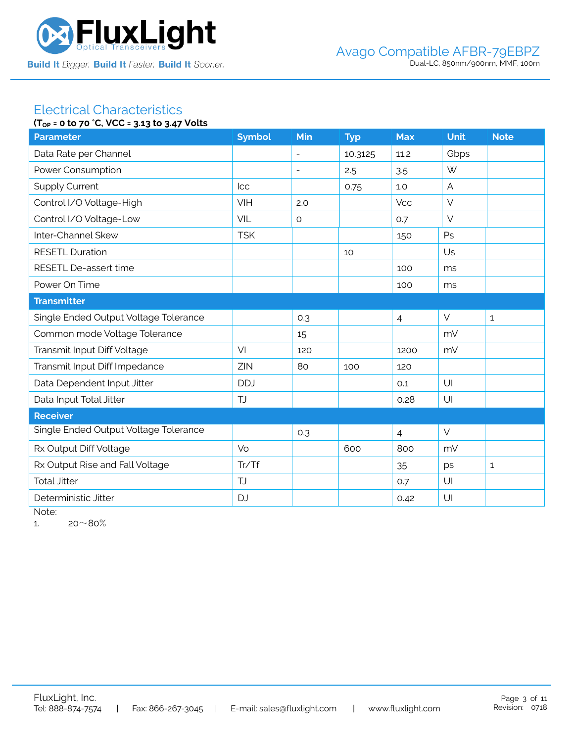

#### Electrical Characteristics **(TOP = 0 to 70 °C, VCC = 3.13 to 3.47 Volts**

| $(1_{OP} = 0.10 / 0.6, 0.06 = 3.13.10.3.4 / 0.0115)$ |               |                          |            |                |             |              |
|------------------------------------------------------|---------------|--------------------------|------------|----------------|-------------|--------------|
| <b>Parameter</b>                                     | <b>Symbol</b> | Min                      | <b>Typ</b> | <b>Max</b>     | <b>Unit</b> | <b>Note</b>  |
| Data Rate per Channel                                |               | $\equiv$                 | 10.3125    | 11.2           | Gbps        |              |
| Power Consumption                                    |               | $\overline{\phantom{a}}$ | 2.5        | 3.5            | W           |              |
| <b>Supply Current</b>                                | <b>Icc</b>    |                          | 0.75       | 1.0            | A           |              |
| Control I/O Voltage-High                             | VIH           | 2.0                      |            | <b>Vcc</b>     | $\vee$      |              |
| Control I/O Voltage-Low                              | <b>VIL</b>    | $\circ$                  |            | 0.7            | $\vee$      |              |
| Inter-Channel Skew                                   | <b>TSK</b>    |                          |            | 150            | Ps          |              |
| <b>RESETL Duration</b>                               |               |                          | 10         |                | Us          |              |
| RESETL De-assert time                                |               |                          |            | 100            | ms          |              |
| Power On Time                                        |               |                          |            | 100            | ms          |              |
| <b>Transmitter</b>                                   |               |                          |            |                |             |              |
| Single Ended Output Voltage Tolerance                |               | 0.3                      |            | $\overline{4}$ | $\vee$      | $\mathbf{1}$ |
| Common mode Voltage Tolerance                        |               | 15                       |            |                | mV          |              |
| Transmit Input Diff Voltage                          | VI            | 120                      |            | 1200           | mV          |              |
| Transmit Input Diff Impedance                        | ZIN           | 80                       | 100        | 120            |             |              |
| Data Dependent Input Jitter                          | <b>DDJ</b>    |                          |            | 0.1            | U           |              |
| Data Input Total Jitter                              | <b>TJ</b>     |                          |            | 0.28           | U           |              |
| <b>Receiver</b>                                      |               |                          |            |                |             |              |
| Single Ended Output Voltage Tolerance                |               | 0.3                      |            | $\overline{4}$ | $\vee$      |              |
| Rx Output Diff Voltage                               | Vo            |                          | 600        | 800            | mV          |              |
| Rx Output Rise and Fall Voltage                      | Tr/Tf         |                          |            | 35             | ps          | $\mathbf{1}$ |
| <b>Total Jitter</b>                                  | <b>TJ</b>     |                          |            | 0.7            | U           |              |
| Deterministic Jitter                                 | <b>DJ</b>     |                          |            | 0.42           | U           |              |
|                                                      |               |                          |            |                |             |              |

Note:

1.  $20~80%$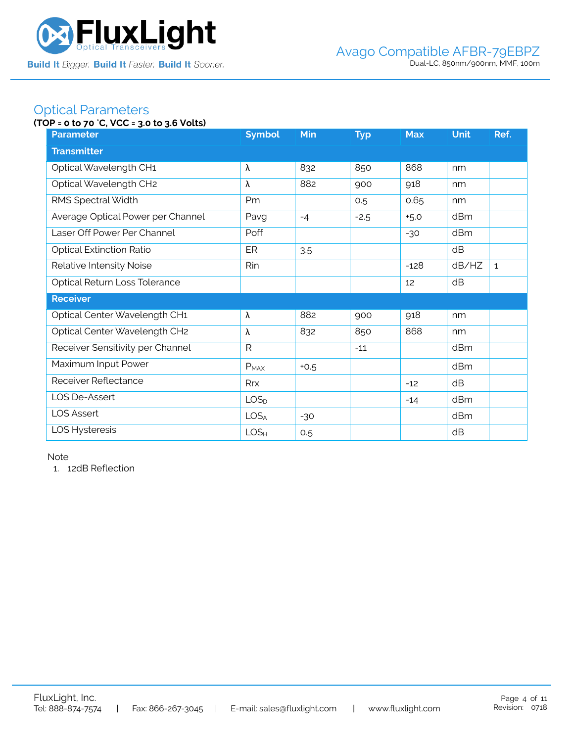

## Optical Parameters

### **(TOP = 0 to 70** °**C, VCC = 3.0 to 3.6 Volts)**

| <b>Parameter</b>                  | <b>Symbol</b>    | <b>Min</b> | <b>Typ</b> | <b>Max</b> | <b>Unit</b> | Ref.         |  |  |  |
|-----------------------------------|------------------|------------|------------|------------|-------------|--------------|--|--|--|
| <b>Transmitter</b>                |                  |            |            |            |             |              |  |  |  |
| Optical Wavelength CH1            | λ                | 832        | 850        | 868        | nm          |              |  |  |  |
| Optical Wavelength CH2            | λ                | 882        | 900        | 918        | nm          |              |  |  |  |
| RMS Spectral Width                | Pm               |            | 0.5        | 0.65       | nm          |              |  |  |  |
| Average Optical Power per Channel | Pavg             | $-4$       | $-2.5$     | $+5.0$     | dBm         |              |  |  |  |
| Laser Off Power Per Channel       | Poff             |            |            | $-30$      | dBm         |              |  |  |  |
| <b>Optical Extinction Ratio</b>   | ER               | 3.5        |            |            | dB          |              |  |  |  |
| Relative Intensity Noise          | Rin              |            |            | $-128$     | dB/HZ       | $\mathbf{1}$ |  |  |  |
| Optical Return Loss Tolerance     |                  |            |            | 12         | dB          |              |  |  |  |
| <b>Receiver</b>                   |                  |            |            |            |             |              |  |  |  |
| Optical Center Wavelength CH1     | λ                | 882        | 900        | 918        | nm          |              |  |  |  |
| Optical Center Wavelength CH2     | λ                | 832        | 850        | 868        | nm          |              |  |  |  |
| Receiver Sensitivity per Channel  | R                |            | $-11$      |            | dBm         |              |  |  |  |
| Maximum Input Power               | $P_{MAX}$        | $+0.5$     |            |            | dBm         |              |  |  |  |
| Receiver Reflectance              | Rrx              |            |            | $-12$      | dB          |              |  |  |  |
| LOS De-Assert                     | LOS <sub>D</sub> |            |            | $-14$      | dBm         |              |  |  |  |
| <b>LOS Assert</b>                 | LOS <sub>A</sub> | $-30$      |            |            | dBm         |              |  |  |  |
| LOS Hysteresis                    | LOS <sub>H</sub> | 0.5        |            |            | dB          |              |  |  |  |

Note

1. 12dB Reflection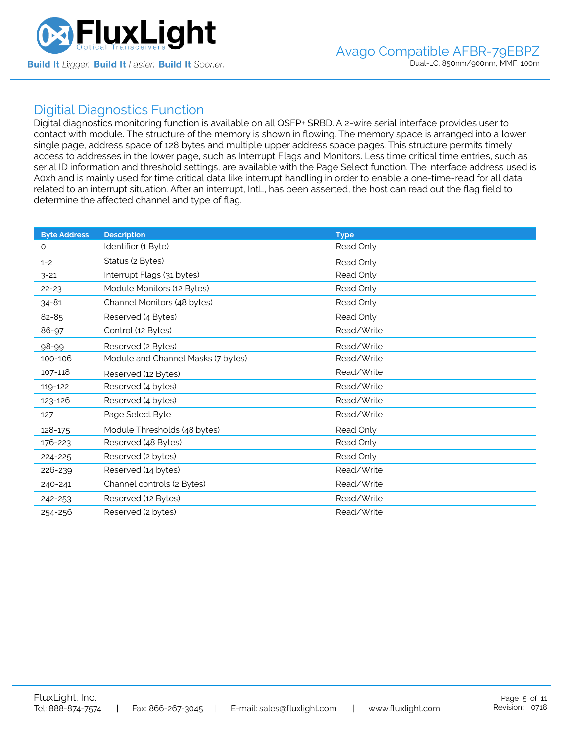

### Digitial Diagnostics Function

Digital diagnostics monitoring function is available on all QSFP+ SRBD. A 2-wire serial interface provides user to contact with module. The structure of the memory is shown in flowing. The memory space is arranged into a lower, single page, address space of 128 bytes and multiple upper address space pages. This structure permits timely access to addresses in the lower page, such as Interrupt Flags and Monitors. Less time critical time entries, such as serial ID information and threshold settings, are available with the Page Select function. The interface address used is A0xh and is mainly used for time critical data like interrupt handling in order to enable a one-time-read for all data related to an interrupt situation. After an interrupt, IntL, has been asserted, the host can read out the flag field to determine the affected channel and type of flag.

| <b>Byte Address</b> | <b>Description</b>                 | <b>Type</b> |
|---------------------|------------------------------------|-------------|
| $\Omega$            | Identifier (1 Byte)                | Read Only   |
| $1 - 2$             | Status (2 Bytes)                   | Read Only   |
| $3 - 21$            | Interrupt Flags (31 bytes)         | Read Only   |
| $22 - 23$           | Module Monitors (12 Bytes)         | Read Only   |
| $34 - 81$           | Channel Monitors (48 bytes)        | Read Only   |
| 82-85               | Reserved (4 Bytes)                 | Read Only   |
| 86-97               | Control (12 Bytes)                 | Read/Write  |
| 98-99               | Reserved (2 Bytes)                 | Read/Write  |
| 100-106             | Module and Channel Masks (7 bytes) | Read/Write  |
| 107-118             | Reserved (12 Bytes)                | Read/Write  |
| 119-122             | Reserved (4 bytes)                 | Read/Write  |
| 123-126             | Reserved (4 bytes)                 | Read/Write  |
| 127                 | Page Select Byte                   | Read/Write  |
| 128-175             | Module Thresholds (48 bytes)       | Read Only   |
| 176-223             | Reserved (48 Bytes)                | Read Only   |
| 224-225             | Reserved (2 bytes)                 | Read Only   |
| 226-239             | Reserved (14 bytes)                | Read/Write  |
| 240-241             | Channel controls (2 Bytes)         | Read/Write  |
| 242-253             | Reserved (12 Bytes)                | Read/Write  |
| 254-256             | Reserved (2 bytes)                 | Read/Write  |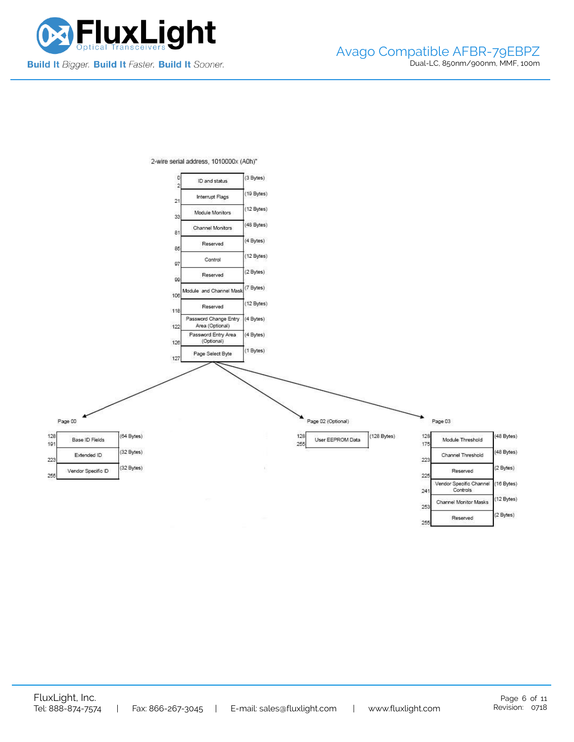



2-wire serial address, 1010000x (A0h)"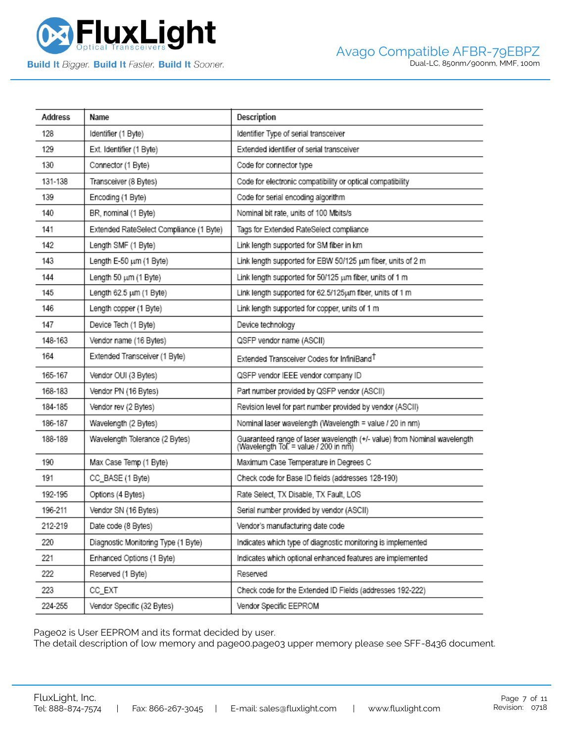

| Address | Name                                    | Description                                                                                                       |
|---------|-----------------------------------------|-------------------------------------------------------------------------------------------------------------------|
| 128     | Identifier (1 Byte)                     | Identifier Type of serial transceiver                                                                             |
| 129     | Ext. Identifier (1 Byte)                | Extended identifier of serial transceiver                                                                         |
| 130     | Connector (1 Byte)                      | Code for connector type                                                                                           |
| 131-138 | Transceiver (8 Bytes)                   | Code for electronic compatibility or optical compatibility                                                        |
| 139     | Encoding (1 Byte)                       | Code for serial encoding algorithm                                                                                |
| 140     | BR, nominal (1 Byte)                    | Nominal bit rate, units of 100 Mbits/s                                                                            |
| 141     | Extended RateSelect Compliance (1 Byte) | Tags for Extended RateSelect compliance                                                                           |
| 142     | Length SMF (1 Byte)                     | Link length supported for SM fiber in km                                                                          |
| 143     | Length E-50 um (1 Byte)                 | Link length supported for EBW 50/125 um fiber, units of 2 m                                                       |
| 144     | Length 50 um (1 Byte)                   | Link length supported for 50/125 um fiber, units of 1 m                                                           |
| 145     | Length 62.5 um (1 Byte)                 | Link length supported for 62.5/125pm fiber, units of 1 m                                                          |
| 146     | Length copper (1 Byte)                  | Link length supported for copper, units of 1 m                                                                    |
| 147     | Device Tech (1 Byte)                    | Device technology                                                                                                 |
| 148-163 | Vendor name (16 Bytes)                  | QSFP vendor name (ASCII)                                                                                          |
| 164     | Extended Transceiver (1 Byte)           | Extended Transceiver Codes for InfiniBand <sup>T</sup>                                                            |
| 165-167 | Vendor OUI (3 Bytes)                    | QSFP vendor IEEE vendor company ID                                                                                |
| 168-183 | Vendor PN (16 Bytes)                    | Part number provided by QSFP vendor (ASCII)                                                                       |
| 184-185 | Vendor rev (2 Bytes)                    | Revision level for part number provided by vendor (ASCII)                                                         |
| 186-187 | Wavelength (2 Bytes)                    | Nominal laser wavelength (Wavelength = value / 20 in nm)                                                          |
| 188-189 | Wavelength Tolerance (2 Bytes)          | Guaranteed range of laser wavelength (+/- value) from Nominal wavelength<br>(Wavelength Tol. = value / 200 in nm) |
| 190     | Max Case Temp (1 Byte)                  | Maximum Case Temperature in Degrees C                                                                             |
| 191     | CC_BASE (1 Byte)                        | Check code for Base ID fields (addresses 128-190)                                                                 |
| 192-195 | Options (4 Bytes)                       | Rate Select, TX Disable, TX Fault, LOS                                                                            |
| 196-211 | Vendor SN (16 Bytes)                    | Serial number provided by vendor (ASCII)                                                                          |
| 212-219 | Date code (8 Bytes)                     | Vendor's manufacturing date code                                                                                  |
| 220     | Diagnostic Monitoring Type (1 Byte)     | Indicates which type of diagnostic monitoring is implemented                                                      |
| 221     | Enhanced Options (1 Byte)               | Indicates which optional enhanced features are implemented                                                        |
| 222     | Reserved (1 Byte)                       | Reserved                                                                                                          |
| 223     | CC_EXT                                  | Check code for the Extended ID Fields (addresses 192-222)                                                         |
| 224-255 | Vendor Specific (32 Bytes)              | Vendor Specific EEPROM                                                                                            |

Page02 is User EEPROM and its format decided by user.

The detail description of low memory and page00.page03 upper memory please see SFF-8436 document.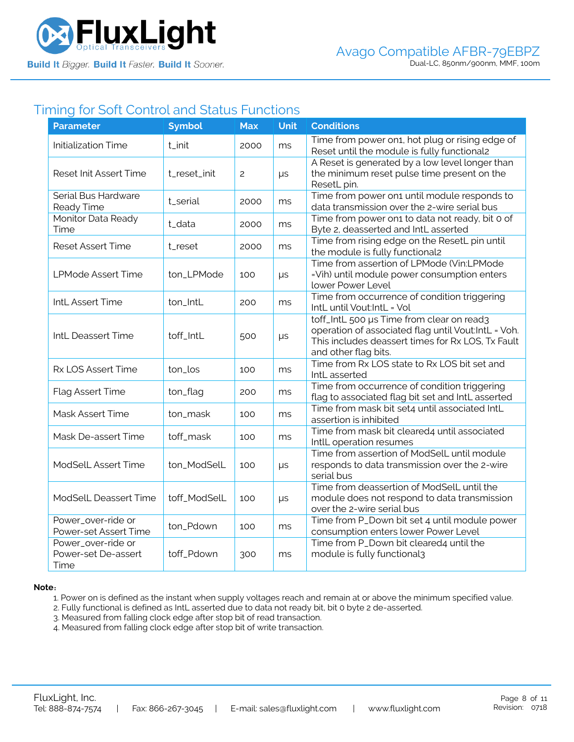

## Timing for Soft Control and Status Functions

| <b>Parameter</b>                                  | <b>Symbol</b> | <b>Max</b> | <b>Unit</b> | <b>Conditions</b>                                                                                                                                                             |
|---------------------------------------------------|---------------|------------|-------------|-------------------------------------------------------------------------------------------------------------------------------------------------------------------------------|
| <b>Initialization Time</b>                        | t_init        | 2000       | ms          | Time from power on1, hot plug or rising edge of<br>Reset until the module is fully functional2                                                                                |
| Reset Init Assert Time                            | t_reset_init  | 2          | $\mu s$     | A Reset is generated by a low level longer than<br>the minimum reset pulse time present on the<br>ResetL pin.                                                                 |
| Serial Bus Hardware<br>Ready Time                 | t_serial      | 2000       | ms          | Time from power on1 until module responds to<br>data transmission over the 2-wire serial bus                                                                                  |
| Monitor Data Ready<br>Time                        | t_data        | 2000       | ms          | Time from power on1 to data not ready, bit 0 of<br>Byte 2, deasserted and IntL asserted                                                                                       |
| <b>Reset Assert Time</b>                          | t_reset       | 2000       | ms          | Time from rising edge on the ResetL pin until<br>the module is fully functional2                                                                                              |
| <b>LPMode Assert Time</b>                         | ton_LPMode    | 100        | $\mu s$     | Time from assertion of LPMode (Vin:LPMode<br>=Vih) until module power consumption enters<br>lower Power Level                                                                 |
| IntL Assert Time                                  | ton_IntL      | 200        | ms          | Time from occurrence of condition triggering<br>IntL until Vout:IntL = Vol                                                                                                    |
| IntL Deassert Time                                | toff_IntL     | 500        | $\mu s$     | toff_IntL 500 µs Time from clear on read3<br>operation of associated flag until Vout:IntL = Voh.<br>This includes deassert times for Rx LOS, Tx Fault<br>and other flag bits. |
| Rx LOS Assert Time                                | ton_los       | 100        | ms          | Time from Rx LOS state to Rx LOS bit set and<br>IntL asserted                                                                                                                 |
| Flag Assert Time                                  | ton_flag      | 200        | ms          | Time from occurrence of condition triggering<br>flag to associated flag bit set and IntL asserted                                                                             |
| Mask Assert Time                                  | ton_mask      | 100        | ms          | Time from mask bit set4 until associated IntL<br>assertion is inhibited                                                                                                       |
| Mask De-assert Time                               | toff_mask     | 100        | ms          | Time from mask bit cleared4 until associated<br>IntlL operation resumes                                                                                                       |
| ModSelL Assert Time                               | ton_ModSelL   | 100        | $\mu s$     | Time from assertion of ModSelL until module<br>responds to data transmission over the 2-wire<br>serial bus                                                                    |
| ModSelL Deassert Time                             | toff_ModSelL  | 100        | $\mu s$     | Time from deassertion of ModSelL until the<br>module does not respond to data transmission<br>over the 2-wire serial bus                                                      |
| Power_over-ride or<br>Power-set Assert Time       | ton_Pdown     | 100        | ms          | Time from P_Down bit set 4 until module power<br>consumption enters lower Power Level                                                                                         |
| Power_over-ride or<br>Power-set De-assert<br>Time | toff_Pdown    | 300        | ms          | Time from P_Down bit cleared4 until the<br>module is fully functional3                                                                                                        |

#### **Note**:

1. Power on is defined as the instant when supply voltages reach and remain at or above the minimum specified value.

- 2. Fully functional is defined as IntL asserted due to data not ready bit, bit 0 byte 2 de-asserted.
- 3. Measured from falling clock edge after stop bit of read transaction.
- 4. Measured from falling clock edge after stop bit of write transaction.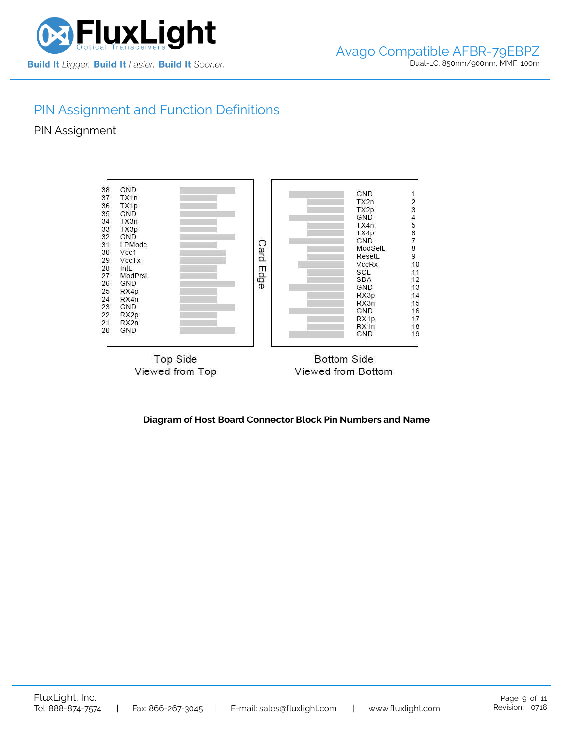

# PIN Assignment and Function Definitions

PIN Assignment



**Diagram of Host Board Connector Block Pin Numbers and Name**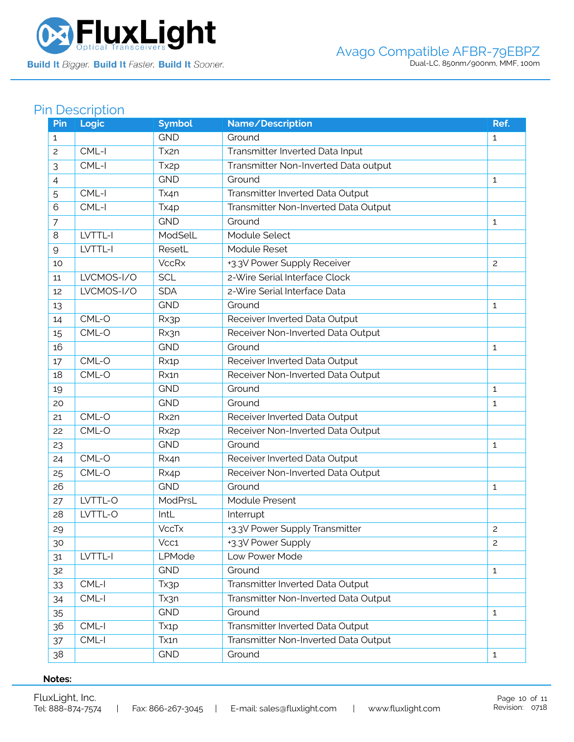

# Pin Description

| Pin            | Logic      | <b>Symbol</b>     | Name/Description                     | Ref.           |
|----------------|------------|-------------------|--------------------------------------|----------------|
| $\mathbf{1}$   |            | <b>GND</b>        | Ground                               | $\mathbf{1}$   |
| $\overline{c}$ | $CML-I$    | Tx2n              | Transmitter Inverted Data Input      |                |
| 3              | $CML-I$    | Tx <sub>2p</sub>  | Transmitter Non-Inverted Data output |                |
| 4              |            | <b>GND</b>        | Ground                               | $\mathbf{1}$   |
| 5              | $CML-I$    | Tx4n              | Transmitter Inverted Data Output     |                |
| 6              | CML-I      | Tx4p              | Transmitter Non-Inverted Data Output |                |
| $\overline{7}$ |            | <b>GND</b>        | Ground                               | $\mathbf{1}$   |
| 8              | LVTTL-I    | ModSelL           | Module Select                        |                |
| $\mathsf{Q}$   | LVTTL-I    | ResetL            | Module Reset                         |                |
| 10             |            | <b>VccRx</b>      | +3.3V Power Supply Receiver          | $\overline{c}$ |
| 11             | LVCMOS-I/O | <b>SCL</b>        | 2-Wire Serial Interface Clock        |                |
| 12             | LVCMOS-I/O | <b>SDA</b>        | 2-Wire Serial Interface Data         |                |
| 13             |            | <b>GND</b>        | Ground                               | 1              |
| 14             | $CML-O$    | Rx3p              | Receiver Inverted Data Output        |                |
| 15             | CML-O      | Rx3n              | Receiver Non-Inverted Data Output    |                |
| 16             |            | <b>GND</b>        | Ground                               | $\mathbf{1}$   |
| 17             | CML-O      | Rx1p              | Receiver Inverted Data Output        |                |
| 18             | CML-O      | Rx1n              | Receiver Non-Inverted Data Output    |                |
| 19             |            | <b>GND</b>        | Ground                               | $\mathbf{1}$   |
| 20             |            | <b>GND</b>        | Ground                               | 1              |
| 21             | CML-O      | Rx2n              | Receiver Inverted Data Output        |                |
| 22             | CML-O      | Rx <sub>2</sub> p | Receiver Non-Inverted Data Output    |                |
| 23             |            | <b>GND</b>        | Ground                               | $\mathbf{1}$   |
| 24             | CML-O      | Rx4n              | Receiver Inverted Data Output        |                |
| 25             | CML-O      | Rx4p              | Receiver Non-Inverted Data Output    |                |
| 26             |            | <b>GND</b>        | Ground                               | 1              |
| 27             | LVTTL-O    | ModPrsL           | Module Present                       |                |
| 28             | LVTTL-O    | IntL              | Interrupt                            |                |
| 29             |            | <b>VccTx</b>      | +3.3V Power Supply Transmitter       | 2              |
| 30             |            | Vcc1              | +3.3V Power Supply                   | $\overline{c}$ |
| 31             | LVTTL-I    | LPMode            | Low Power Mode                       |                |
| 32             |            | <b>GND</b>        | Ground                               | $\mathbf{1}$   |
| 33             | $CML-I$    | Tx3p              | Transmitter Inverted Data Output     |                |
| 34             | CML-I      | Tx3n              | Transmitter Non-Inverted Data Output |                |
| 35             |            | <b>GND</b>        | Ground                               | $\mathbf{1}$   |
| 36             | CML-I      | Tx <sub>1</sub> p | Transmitter Inverted Data Output     |                |
| 37             | $CML-I$    | Tx1n              | Transmitter Non-Inverted Data Output |                |
| 38             |            | <b>GND</b>        | Ground                               | $\mathbf{1}$   |

### **Notes:**